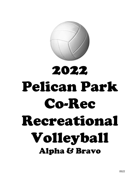

# 2022 Pelican Park Co-Rec Recreational Volleyball Alpha & Bravo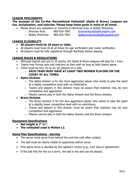# **LEAGUE PHILOSOPHY**

#### **The purpose of the Co-Rec Recreational Volleyball (Alpha & Bravo) Leagues are fun, socialization, and exercise. Please keep these goals in mind at all times.**

- Please direct any questions or concerns to Brennan Kuss or Bobby McKinney.
	-
	- o Brennan Kuss 985-626-7997 [brennankuss@pelicanpark.com](mailto:brennankuss@pelicanpark.com)
	- o Bobby McKinney 985-626-7997 [bobbymckinney@pelicanpark.com](mailto:bobbymckinney@pelicanpark.com)

#### **LEAGUE ELIGIBILITY**

- **All players must be 18 years or older.**
- All players must have ID at all times for age verification and roster verification.
- All players must be fully registered through RecDesk before playing.

## **LEAGUE RULES & REGULATIONS**

- Although typical sets are to 25 points, the Alpha & Bravo leagues will play for 1 hour.
- Teams may format sets and matches as they wish as long as both teams agree.
- There must be four (4) to six (6) players on a side.

#### o **EACH TEAM MUST HAVE AT LEAST TWO WOMEN PLAYING ON THE COURT AT ALL TIMES.**

- **Alpha Division**
	- $\circ$  The Alpha division is for the more aggressive player who wants to play the sport at a highly competitive level with no restrictions.
	- $\circ$  Teams and players in this division must be aware that matches may be very competitive and aggressive.
	- $\circ$  Players cannot play in both the Alpha division and the Bravo division.

# • **Bravo Division**

- $\circ$  The Bravo division is for the less aggressive player who wants to play the sport at a slightly lower competitive level with no restrictions.
- $\circ$  Teams and players in this division must be aware that matches may be very competitive and aggressive.
- $\circ$  Players cannot play in both the Alpha division and the Bravo division.

## **Equipment Specifications**

- **Net height is 7' 11".**
- **The volleyball used is Molten L2.**

## **Game Play Specifications - Serving**

- The server must serve from behind the end line until after contact.
- The ball must be clearly visible to opponents before serve.
- First game serve is decided by the captain's choice (e.g., coin toss or agreement).
- If the ball hits the net on a serve, the ball is live and can be played.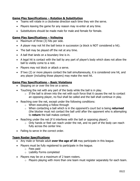## **Game Play Specifications – Rotation & Substitution**

- Teams will rotate in a clockwise direction each time they win the serve.
- Players leaving the game for any reason may re-enter at any time.
- Substitutions should be made male for male and female for female.

## **Game Play Specifications – Volleying**

- Maximum of three (3) hits per side.
- A player may not hit the ball twice in succession (a block is NOT considered a hit).
- The ball may be played off the net at any time.
- A ball that lands on a boundary line is in.
- A legal hit is contact with the ball by any part of player's body which does not allow the ball to visibly come to a rest.
- Players may not block or attack a serve.
- If two (2) or more players contact the ball simultaneously, it is considered one hit, and any player (including those players) may make the next hit.

#### **Game Play Specifications – Basic Violations**

- Stepping on or over the line on a serve.
- Touching the net with any part of the body while the ball is in play.
	- $\circ$  If the ball is driven into the net with such force that it causes the net to contact an opposing player, no foul shall be called and the ball shall continue in play.
- Reaching over the net, except under the following conditions:
	- o When executing a follow through
	- o When contacting a ball which is in the opponent's court but is being **returned** (the blocker must not contact the ball until after the opponent who is attempting to **return** the ball makes contact)
- Reaching under the net (if it interferes with the ball or opposing player).
	- $\circ$  Only hands or feet can reach under the net, and no part of the body can reach fully across the center line.
- Failing to serve in the correct order.

## **Team Roster Specifications**

- Any male or female adult **over the age of 18** may participate in this league.
- Players must be fully registered to participate in the league.
	- o Fees paid
	- o Liability Forms completed
- Players may be on a maximum of 2 team rosters.
	- $\circ$  Players playing with more than one team must register separately for each team.